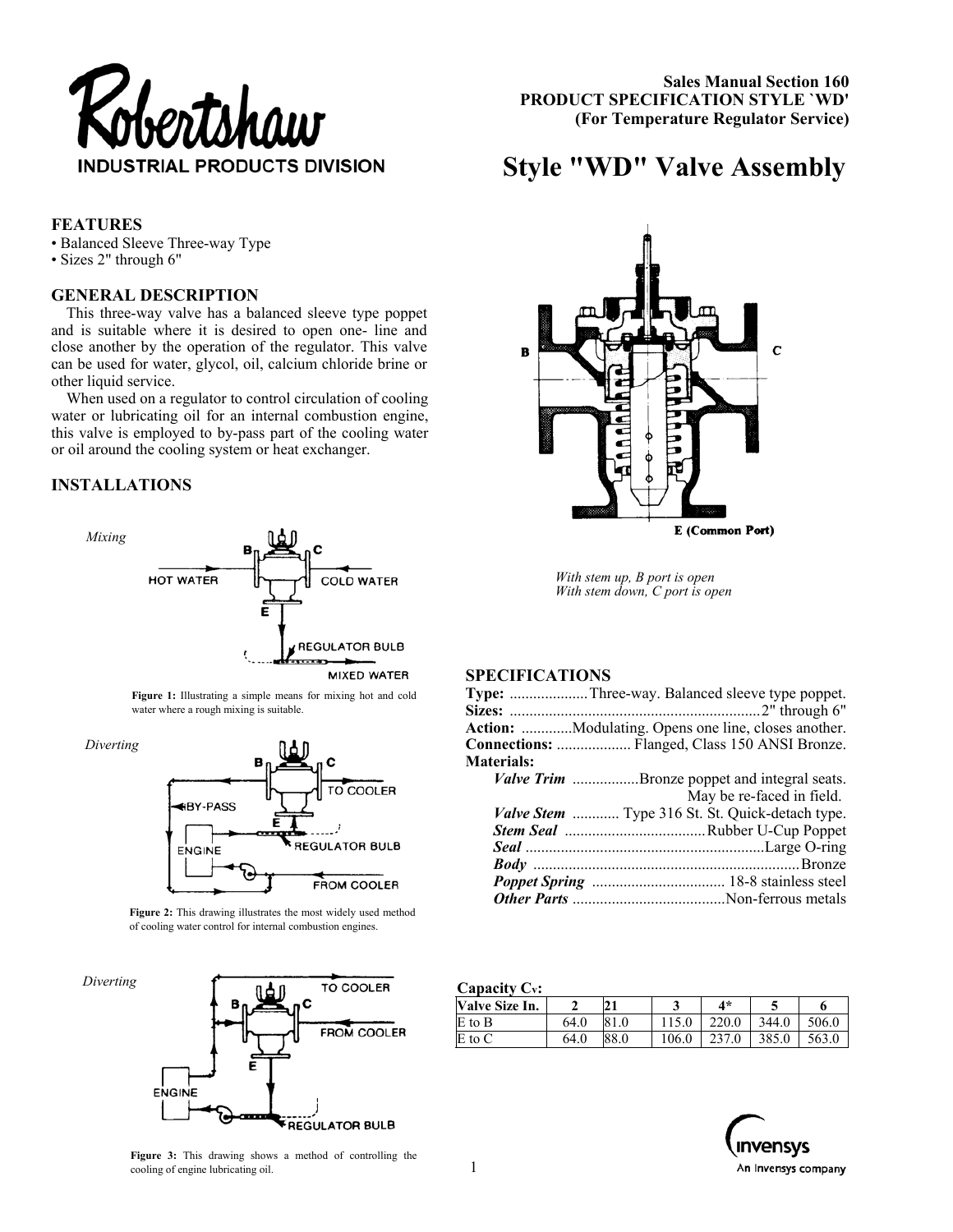

 **Sales Manual Section 160 PRODUCT SPECIFICATION STYLE `WD' (For Temperature Regulator Service)** 

# **Style "WD" Valve Assembly**

# **FEATURES**

- Balanced Sleeve Three-way Type
- Sizes 2" through 6"

#### **GENERAL DESCRIPTION**

This three-way valve has a balanced sleeve type poppet and is suitable where it is desired to open one- line and close another by the operation of the regulator. This valve can be used for water, glycol, oil, calcium chloride brine or other liquid service.

When used on a regulator to control circulation of cooling water or lubricating oil for an internal combustion engine, this valve is employed to by-pass part of the cooling water or oil around the cooling system or heat exchanger.

# **INSTALLATIONS**



**Figure 1:** Illustrating a simple means for mixing hot and cold water where a rough mixing is suitable.

*Diverting*



**Figure 2:** This drawing illustrates the most widely used method of cooling water control for internal combustion engines.





*With stem up, B port is open With stem down, C port is open* 

# **SPECIFICATIONS**

| <b>Type:</b> Three-way. Balanced sleeve type poppet.       |
|------------------------------------------------------------|
|                                                            |
| <b>Action:</b> Modulating. Opens one line, closes another. |
| Connections:  Flanged, Class 150 ANSI Bronze.              |
|                                                            |
| <i>Valve Trim</i> Bronze poppet and integral seats.        |
| May be re-faced in field.                                  |
| Valve Stem  Type 316 St. St. Quick-detach type.            |
|                                                            |
|                                                            |
|                                                            |
|                                                            |
|                                                            |
|                                                            |

#### **Capacity Cv:**

| <b>Valve Size In.</b> |      |      |       | $4*$  |       |       |
|-----------------------|------|------|-------|-------|-------|-------|
| E to B                | 64.0 | 81.0 |       | 220.0 | 344.0 | 506.0 |
| E to C                | 64.0 | 88.0 | 106.0 | 237.0 | 385.0 | 563.0 |



**Figure 3:** This drawing shows a method of controlling the cooling of engine lubricating oil.